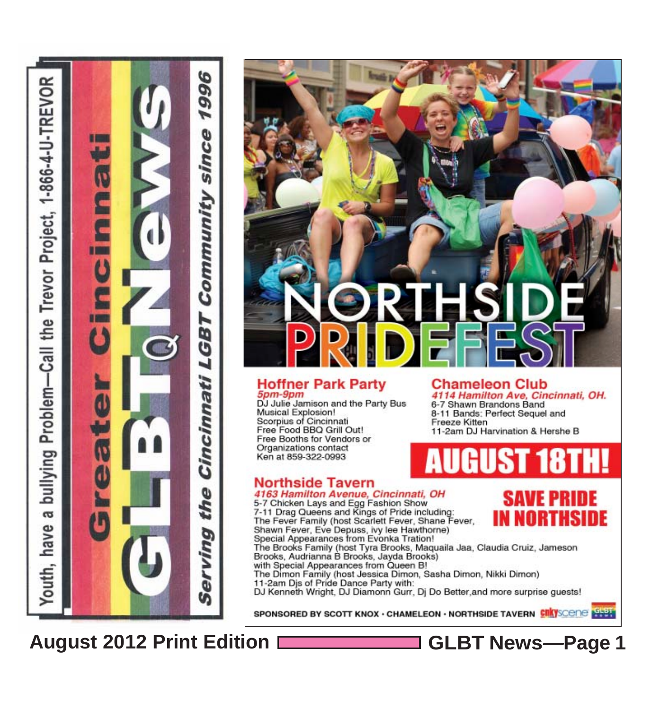### **Hoffner Park Party** 5pm-9pm

DJ Julie Jamison and the Party Bus Musical Explosion!<br>Scorpius of Cincinnati Free Food BBQ Grill Out! Free Booths for Vendors or Organizations contact Ken at 859-322-0993

### **Northside Tavern** 4163 Hamilton Avenue, Cincinnati, OH

5-7 Chicken Lays and Egg Fashion Show<br>7-11 Drag Queens and Kings of Pride including:<br>The Fever Family (host Scarlett Fever, Shane Fever, Shawn Fever, Eve Depuss, by lee Hawthorne) Special Appearances from Evonka Tration! The Brooks Family (host Tyra Brooks, Maquaila Jaa, Claudia Cruiz, Jameson Brooks, Audrianna B Brooks, Jayda Brooks)<br>with Special Appearances from Queen B! The Dimon Family (host Jessica Dimon, Sasha Dimon, Nikki Dimon) 11-2am Djs of Pride Dance Party with:

DJ Kenneth Wright, DJ Diamonn Gurr, Dj Do Better, and more surprise guests!

SPONSORED BY SCOTT KNOX · CHAMELEON · NORTHSIDE TAVERN CITY SCONG SHEET

### **August 2012 Print Edition GLBT News***—***Page 1**

 $\sigma$ 

outh.

**Chameleon Club** 4114 Hamilton Ave, Cincinnati, OH. 6-7 Shawn Brandons Band

8-11 Bands: Perfect Sequel and Freeze Kitten 11-2am DJ Harvination & Hershe B

SAVE PRINE





996

W

since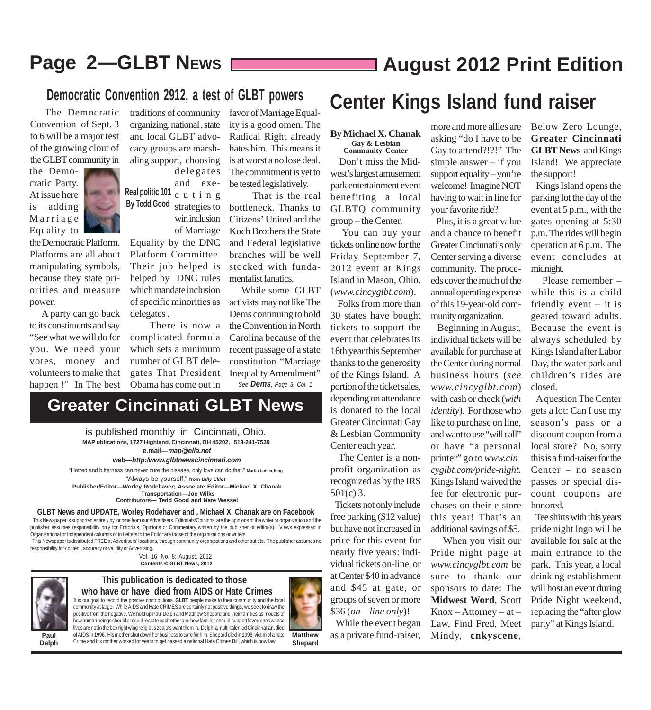### **Page 2—GLBT NEWS** [**Constant 2012 Print Edition**

### **Democratic Convention 2912, a test of GLBT powers**

Convention of Sept. 3 to 6 will be a major test of the growing clout of the GLBT community in

the Democratic Platform. Platforms are all about manipulating symbols, because they state priorities and measure

 A party can go back to its constituents and say "See what we will do for you. We need your votes, money and volunteers to make that happen !" In The best

the Democratic Party. At issue here is adding Marriage Equality to

power.



traditions of community organizing, national , state and local GLBT advocacy groups are marshaling support, choosing delegates

**Real politic 101 By Tedd Good** and executing strategies to win inclusion of Marriage

Equality by the DNC Platform Committee. Their job helped is helped by DNC rules which mandate inclusion of specific minorities as delegates .

 There is now a complicated formula which sets a minimum number of GLBT delegates That President Obama has come out in

**Greater Cincinnati GLBT News**

favor of Marriage Equality is a good omen. The Radical Right already hates him. This means it is at worst a no lose deal. The commitment is yet to be tested legislatively.

 That is the real bottleneck. Thanks to Citizens' United and the Koch Brothers the State and Federal legislative branches will be well stocked with fundamentalist fanatics.

 While some GLBT activists may not like The Dems continuing to hold the Convention in North Carolina because of the recent passage of a state constitution "Marriage Inequality Amendment" *See Dems, Page 3, Col. 1*

### Democratic Convention 2912, a test of GLB1 powers **Center Kings Island fund raiser**<br>The Democratic traditions of community favor of Marriage Equal-

### **By Michael X. Chanak Gay & Lesbian**

**Community Center**

 Don't miss the Midwest's largest amusement park entertainment event benefiting a local GLBTQ community group – the Center.

 You can buy your tickets on line now for the Friday September 7, 2012 event at Kings Island in Mason, Ohio. (*www.cincyglbt.com*).

 Folks from more than 30 states have bought tickets to support the event that celebrates its 16th year this September thanks to the generosity of the Kings Island. A portion of the ticket sales, depending on attendance is donated to the local Greater Cincinnati Gay & Lesbian Community Center each year.

 The Center is a nonprofit organization as recognized as by the IRS 501(c) 3.

 Tickets not only include free parking (\$12 value) but have not increased in price for this event for nearly five years: individual tickets on-line, or at Center \$40 in advance and \$45 at gate, or groups of seven or more \$36 (*on – line only*)!

 While the event began as a private fund-raiser,

more and more allies are asking "do I have to be Gay to attend?!?!" The simple answer – if you support equality – you're welcome! Imagine NOT having to wait in line for your favorite ride?

 Plus, it is a great value and a chance to benefit Greater Cincinnati's only Center serving a diverse community. The proceeds cover the much of the annual operating expense of this 19-year-old community organization.

 Beginning in August, individual tickets will be available for purchase at the Center during normal business hours (*see www.cincyglbt.com*) with cash or check (*with identity*). For those who like to purchase on line, and want to use "will call" or have "a personal printer" go to *www.cincyglbt.com/pride-night.* Kings Island waived the fee for electronic purchases on their e-store this year! That's an additional savings of \$5.

 When you visit our Pride night page at *www.cincyglbt.com* be sure to thank our sponsors to date: The **Midwest Word**, Scott  $Know - Attoney - at -$ Law, Find Fred, Meet Mindy, **cnkyscene**,

Below Zero Lounge, **Greater Cincinnati GLBT News** and Kings Island! We appreciate the support!

 Kings Island opens the parking lot the day of the event at 5 p.m., with the gates opening at 5:30 p.m. The rides will begin operation at 6 p.m. The event concludes at midnight.

 Please remember – while this is a child friendly event – it is geared toward adults. Because the event is always scheduled by Kings Island after Labor Day, the water park and children's rides are closed.

 A question The Center gets a lot: Can I use my season's pass or a discount coupon from a local store? No, sorry this is a fund-raiser for the Center – no season passes or special discount coupons are honored.

 Tee shirts with this years pride night logo will be available for sale at the main entrance to the park. This year, a local drinking establishment will host an event during Pride Night weekend, replacing the "after glow party" at Kings Island.

**Paul Delph**

**This publication is dedicated to those** It is our goal to record the positive contributions **GLBT** people make to their community and the local community at large. While AIDS and Hate CRIMES are certainly not positive things, we seek to draw the **who have or have died from AIDS or Hate Crimes**

positive from the negative. We hold up Paul Delph and Matthew Shepard and their families as models of

**Contents © GLBT News, 2012**

Vol. 16, No. 8; August, 2012

 This Newspaper is supported entirely by income from our Advertisers. Editorials/Opinions are the opinions of the writer or organization and the publisher assumes responsibility only for Editorials, Opinions or Commentary written by the publisher or editor(s). Views expressed in

**GLBT News and UPDATE, Worley Rodehaver and , Michael X. Chanak are on Facebook**

This Newspaper is distributed FREE at Advertisers' locations, through community organizations and other outlets. The publisher assumes no

Organizational or Independent columns or in Letters to the Editor are those of the organizations or writers.

responsibility for content, accuracy or validity of Advertising.

"Always be yourself," **from** *Billy Elliot*

"Hatred and bitterness can never cure the disease, only love can do that." **Martin Luther King**

**MAP ublications, 1727 Highland, Cincinnati, OH 45202, 513-241-7539**

**e.mail***—map@ella.net* **web***—http:/www.glbtnewscincinnati.com*

is published monthly in Cincinnati, Ohio.

**Publisher/Editor—Worley Rodehaver; Associate Editor—Michael X. Chanak Transportation—Joe Wilks Contributors— Tedd Good and Nate Wessel**

how human beings should or could react to each other and how families should support loved ones whose lives are not in the box right wing religious zealots want them in. Delph, a multi-talented Cincinnatian, died of AIDS in 1996. His mother shut down her business to care for him. Shepard died in 1998, victim of a hate Crime and his mother worked for years to get passed a national Hate Crimes Bill, which is now law.

**Matthew Shepard**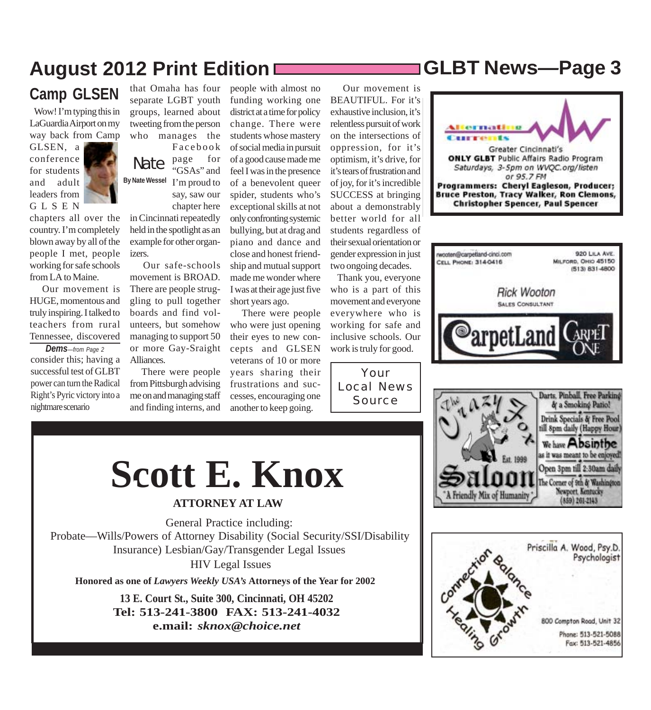### **August 2012 Print Edition GLBT News***—***Page 3**

### **Camp GLSEN**

 Wow! I'm typing this in LaGuardia Airport on my way back from Camp

GLSEN, a conference for students and adult leaders from GLSEN

chapters all over the country. I'm completely blown away by all of the people I met, people working for safe schools from LA to Maine.

 Our movement is HUGE, momentous and truly inspiring. I talked to teachers from rural Tennessee, discovered

consider this; having a successful test of GLBT power can turn the Radical Right's Pyric victory into a nightmare scenario *Dems—from Page 2*

that Omaha has four separate LGBT youth groups, learned about tweeting from the person who manages the Facebook

Nate **By Nate Wessel** I'm proud to page for "GSAs" and say, saw our chapter here

in Cincinnati repeatedly held in the spotlight as an example for other organizers.

 Our safe-schools movement is BROAD. There are people struggling to pull together boards and find volunteers, but somehow managing to support 50 or more Gay-Sraight Alliances.

 There were people from Pittsburgh advising me on and managing staff and finding interns, and people with almost no funding working one district at a time for policy change. There were students whose mastery of social media in pursuit of a good cause made me feel I was in the presence of a benevolent queer spider, students who's exceptional skills at not only confronting systemic bullying, but at drag and piano and dance and close and honest friendship and mutual support made me wonder where I was at their age just five short years ago.

 There were people who were just opening their eyes to new concepts and GLSEN veterans of 10 or more years sharing their frustrations and successes, encouraging one another to keep going.

 Our movement is BEAUTIFUL. For it's exhaustive inclusion, it's relentless pursuit of work on the intersections of oppression, for it's optimism, it's drive, for it's tears of frustration and of joy, for it's incredible SUCCESS at bringing about a demonstrably better world for all students regardless of their sexual orientation or gender expression in just two ongoing decades.

 Thank you, everyone who is a part of this movement and everyone everywhere who is working for safe and inclusive schools. Our work is truly for good.

Your Local News Source









# **Scott E. Knox**

### **ATTORNEY AT LAW**

General Practice including: Probate—Wills/Powers of Attorney Disability (Social Security/SSI/Disability Insurance) Lesbian/Gay/Transgender Legal Issues HIV Legal Issues

**Honored as one of** *Lawyers Weekly USA's* **Attorneys of the Year for 2002**

**13 E. Court St., Suite 300, Cincinnati, OH 45202 Tel: 513-241-3800 FAX: 513-241-4032 e.mail:** *sknox@choice.net*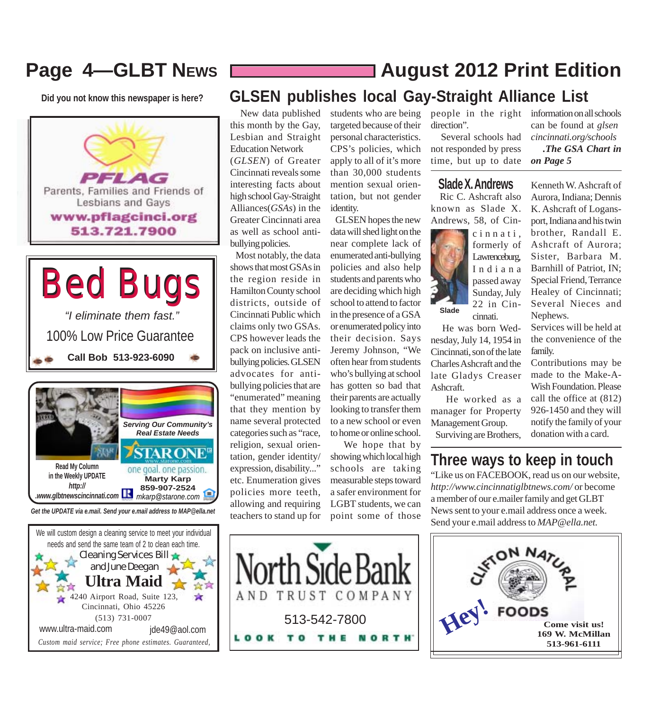### **Page 4—GLBT NEWS**

**Did you not know this newspaper is here?**





*Get the UPDATE via e.mail. Send your e.mail address to MAP@ella.net*



### **August 2012 Print Edition**

### **GLSEN publishes local Gay-Straight Alliance List**

 New data published this month by the Gay, Lesbian and Straight Education Network (*GLSEN*) of Greater Cincinnati reveals some interesting facts about high school Gay-Straight Alliances(*GSAs*) in the Greater Cincinnati area as well as school antibullying policies.

 Most notably, the data shows that most GSAs in the region reside in Hamilton County school districts, outside of Cincinnati Public which claims only two GSAs. CPS however leads the pack on inclusive antibullying policies. GLSEN advocates for antibullying policies that are "enumerated" meaning that they mention by name several protected categories such as "race, religion, sexual orientation, gender identity/ expression, disability..." etc. Enumeration gives policies more teeth, allowing and requiring teachers to stand up for

students who are being targeted because of their personal characteristics. CPS's policies, which apply to all of it's more than 30,000 students mention sexual orientation, but not gender identity.

 GLSEN hopes the new data will shed light on the near complete lack of enumerated anti-bullying policies and also help students and parents who are deciding which high school to attend to factor in the presence of a GSA or enumerated policy into their decision. Says Jeremy Johnson, "We often hear from students who's bullying at school has gotten so bad that their parents are actually looking to transfer them to a new school or even to home or online school.

 We hope that by showing which local high schools are taking measurable steps toward a safer environment for LGBT students, we can point some of those

people in the right information on all schools direction".

 Several schools had not responded by press time, but up to date

### **Slade X. Andrews**

 Ric C. Ashcraft also known as Slade X. Andrews, 58, of Cin-



 He was born Wednesday, July 14, 1954 in Cincinnati, son of the late Charles Ashcraft and the late Gladys Creaser Ashcraft.

 He worked as a manager for Property Management Group. Surviving are Brothers,

**Three ways to keep in touch**

"Like us on FACEBOOK, read us on our website, *http://www.cincinnatiglbtnews.com/* or become a member of our e.mailer family and get GLBT News sent to your e.mail address once a week. Send your e.mail address to *MAP@ella.net.*





can be found at *glsencincinnati.org/schools .The GSA Chart in*

*on Page 5*

Kenneth W. Ashcraft of

Aurora, Indiana; Dennis K. Ashcraft of Logansport, Indiana and his twin brother, Randall E. Ashcraft of Aurora; Sister, Barbara M. Barnhill of Patriot, IN; Special Friend, Terrance Healey of Cincinnati; Several Nieces and Nephews.

Services will be held at the convenience of the family.

Contributions may be made to the Make-A-Wish Foundation. Please call the office at (812) 926-1450 and they will notify the family of your donation with a card.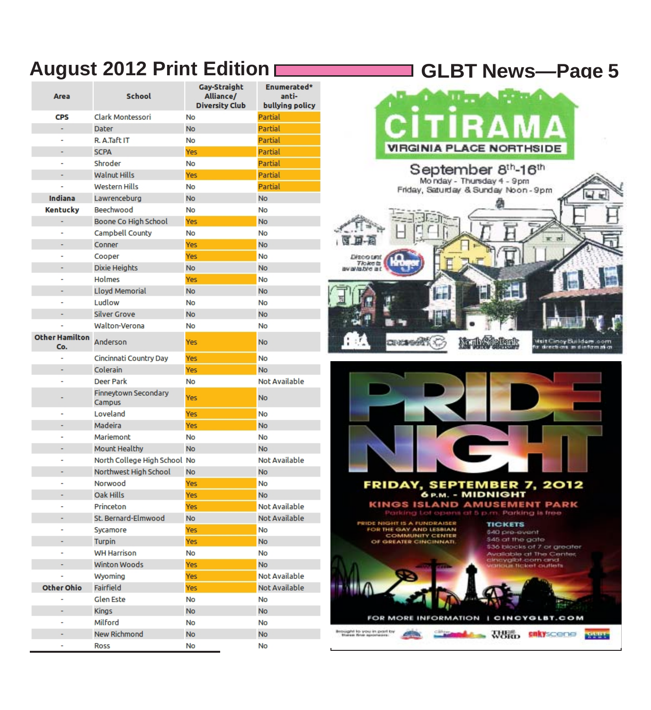### **August 2012 Print Edition GLBT News***—***Page 5**

| Area                         | <b>School</b>                  | Gay-Straight<br>Alliance/<br><b>Diversity Club</b> | Enumerated*<br>anti-<br>bullying policy |
|------------------------------|--------------------------------|----------------------------------------------------|-----------------------------------------|
| <b>CPS</b>                   | Clark Montessori               | No                                                 | Partial                                 |
|                              | Dater                          | <b>No</b>                                          | Partial                                 |
|                              | R. A.Taft IT                   | No                                                 | Partial                                 |
|                              | <b>SCPA</b>                    | Yes                                                | Partial                                 |
|                              | Shroder                        | No                                                 | Partial                                 |
|                              | <b>Walnut Hills</b>            | Yes                                                | Partial                                 |
|                              | <b>Western Hills</b>           | No                                                 | Partial                                 |
| Indiana                      | Lawrenceburg                   | <b>No</b>                                          | <b>No</b>                               |
| <b>Kentucky</b>              | Beechwood                      | No                                                 | No                                      |
| ÷                            | Boone Co High School           | Yes                                                | <b>No</b>                               |
|                              | Campbell County                | No                                                 | No                                      |
|                              | Conner                         | Yes                                                | <b>No</b>                               |
|                              | Cooper                         | Yes                                                | <b>No</b>                               |
|                              | Dixie Heights                  | No                                                 | No                                      |
|                              | Holmes                         | Yes                                                | No                                      |
|                              | Lloyd Memorial                 | <b>No</b>                                          | No                                      |
|                              | Ludlow                         | No                                                 | No                                      |
|                              | <b>Silver Grove</b>            | <b>No</b>                                          | <b>No</b>                               |
|                              | Walton-Verona                  | No                                                 | No                                      |
| <b>Other Hamilton</b><br>Co. | Anderson                       | Yes                                                | No                                      |
|                              | Cincinnati Country Day         | Yes                                                | <b>No</b>                               |
|                              | Colerain                       | Yes                                                | <b>No</b>                               |
|                              | Deer Park                      | No                                                 | Not Available                           |
|                              | Finneytown Secondary<br>Campus | <b>Yes</b>                                         | <b>No</b>                               |
|                              | Loveland                       | Yes                                                | No                                      |
|                              | Madeira                        | Yes                                                | No                                      |
|                              | Mariemont                      | No                                                 | No                                      |
|                              | Mount Healthy                  | <b>No</b>                                          | No                                      |
|                              | North College High School No   |                                                    | Not Available                           |
|                              | Northwest High School          | No                                                 | <b>No</b>                               |
|                              | Norwood                        | <b>Yes</b>                                         | No                                      |
|                              | Oak Hills                      | Yes                                                | <b>No</b>                               |
|                              | Princeton                      | Yes                                                | Not Available                           |
|                              | St. Bernard-Elmwood            | No                                                 | Not Available                           |
|                              | Sycamore                       | Yes                                                | No                                      |
|                              | <b>Turpin</b>                  | Yes                                                | No                                      |
|                              | <b>WH Harrison</b>             | No                                                 | No                                      |
|                              | <b>Winton Woods</b>            | <b>Yes</b>                                         | <b>No</b>                               |
|                              | Wyoming                        | Yes                                                | Not Available                           |
| Other Ohio                   | Fairfield                      | Yes                                                | Not Available                           |
|                              | Glen Este                      | No                                                 | No                                      |
| ÷                            | <b>Kings</b>                   | No                                                 | No                                      |
|                              | Milford                        | No                                                 | No                                      |
|                              | New Richmond                   | No                                                 | <b>No</b>                               |
|                              | Ross                           | No                                                 | No                                      |



FOR MORE INFORMATION | CINCYGLBT.COM watches and the company of the company of the company of the company of the company of the company of the company of the company of the company of the company of the company of the company of the company of the company of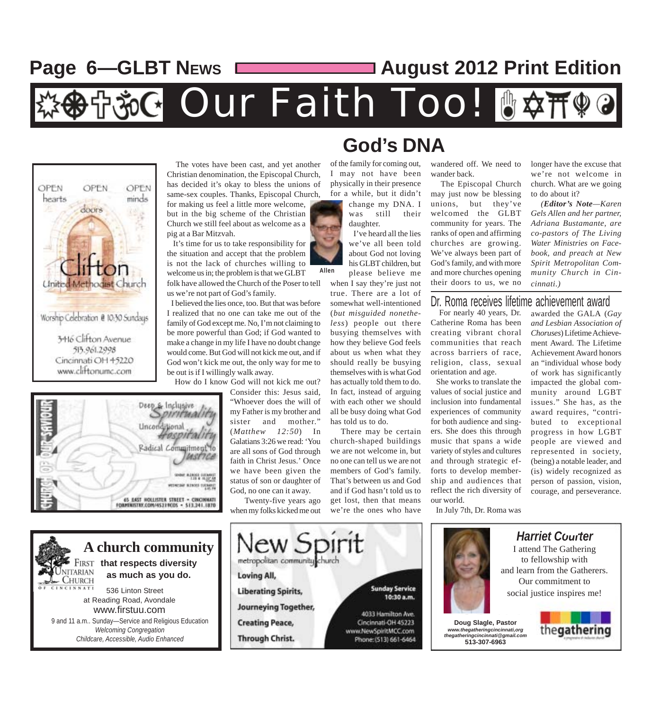### Page 6-GLBT News **Constant Control 2012 Print Edition**

**施G Our Faith Too! 6※** 

**Allen**





**A church community that respects diversity ITARIAN as much as you do. CHURCH**  536 Linton Street at Reading Road, Avondale www.firstuu.com 9 and 11 a.m.. Sunday—Service and Religious Education *Welcoming Congregation Childcare, Accessible, Audio Enhanced*

 The votes have been cast, and yet another Christian denomination, the Episcopal Church, has decided it's okay to bless the unions of same-sex couples. Thanks, Episcopal Church, for making us feel a little more welcome, but in the big scheme of the Christian Church we still feel about as welcome as a pig at a Bar Mitzvah.

 It's time for us to take responsibility for the situation and accept that the problem is not the lack of churches willing to welcome us in; the problem is that we GLBT folk have allowed the Church of the Poser to tell us we're not part of God's family.

 I believed the lies once, too. But that was before I realized that no one can take me out of the family of God except me. No, I'm not claiming to be more powerful than God; if God wanted to make a change in my life I have no doubt change would come. But God will not kick me out, and if God won't kick me out, the only way for me to be out is if I willingly walk away.

How do I know God will not kick me out?

Consider this: Jesus said, "Whoever does the will of my Father is my brother and sister and mother." (*Matthew 12:50*) In Galatians 3:26 we read: 'You are all sons of God through faith in Christ Jesus.' Once we have been given the status of son or daughter of God, no one can it away.

 Twenty-five years ago when my folks kicked me out



of the family for coming out, I may not have been physically in their presence for a while, but it didn't

**God's DNA**

when I say they're just not true. There are a lot of somewhat well-intentioned (*but misguided nonetheless*) people out there busying themselves with

how they believe God feels about us when what they should really be busying themselves with is what God has actually told them to do. In fact, instead of arguing with each other we should all be busy doing what God has told us to do.

 There may be certain church-shaped buildings we are not welcome in, but no one can tell us we are not members of God's family. That's between us and God and if God hasn't told us to get lost, then that means we're the ones who have

wandered off. We need to wander back.

 The Episcopal Church may just now be blessing unions, but they've welcomed the GLBT community for years. The ranks of open and affirming churches are growing. We've always been part of God's family, and with more and more churches opening their doors to us, we no longer have the excuse that we're not welcome in church. What are we going to do about it?

 *(Editor's Note—Karen Gels Allen and her partner, Adriana Bustamante, are co-pastors of The Living Water Ministries on Facebook, and preach at New Spirit Metropolitan Community Church in Cincinnati.)*

### Dr. Roma receives lifetime achievement award

For nearly 40 years, Dr. Catherine Roma has been creating vibrant choral communities that reach across barriers of race, religion, class, sexual orientation and age.

 She works to translate the values of social justice and inclusion into fundamental experiences of community for both audience and singers. She does this through music that spans a wide variety of styles and cultures and through strategic efforts to develop membership and audiences that reflect the rich diversity of our world.

In July 7th, Dr. Roma was





### *Harriet Courter* I attend The Gathering

to fellowship with and learn from the Gatherers. Our commitment to social justice inspires me!

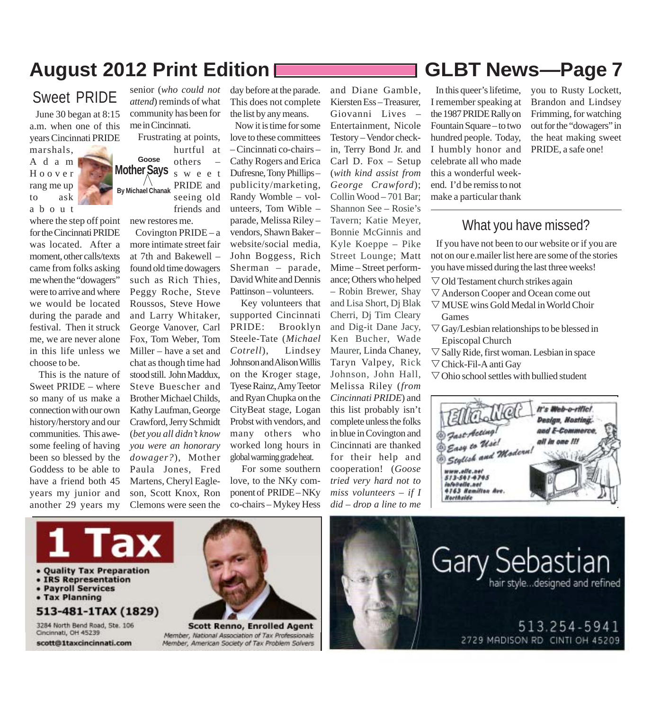### **August 2012 Print Edition GLBT News***—***Page 7**

### Sweet PRIDE

 June 30 began at 8:15 a.m. when one of this years Cincinnati PRIDE marshals,

Adam Hoover rang me up to ask about

where the step off point for the Cincinnati PRIDE was located. After a moment, other calls/texts came from folks asking me when the "dowagers" were to arrive and where we would be located during the parade and festival. Then it struck me, we are never alone in this life unless we choose to be.

 This is the nature of Sweet PRIDE – where so many of us make a connection with our own history/herstory and our communities. This awesome feeling of having been so blessed by the Goddess to be able to have a friend both 45 years my junior and another 29 years my

*attend*) reminds of what community has been for me in Cincinnati. Frustrating at points,

senior (*who could not*

**Mother Says By Michael Chanak Goose** hurtful at others – sweet PRIDE and

seeing old friends and

new restores me. Covington  $PRIDE - a$ more intimate street fair at 7th and Bakewell – found old time dowagers such as Rich Thies, Peggy Roche, Steve Roussos, Steve Howe and Larry Whitaker, George Vanover, Carl Fox, Tom Weber, Tom Miller – have a set and chat as though time had stood still. John Maddux, Steve Buescher and Brother Michael Childs, Kathy Laufman, George Crawford, Jerry Schmidt (*bet you all didn't know you were an honorary dowager?*), Mother Paula Jones, Fred Martens, Cheryl Eagleson, Scott Knox, Ron Clemons were seen the

day before at the parade. This does not complete the list by any means.

 Now it is time for some love to these committees – Cincinnati co-chairs – Cathy Rogers and Erica Dufresne, Tony Phillips – publicity/marketing, Randy Womble – volunteers, Tom Wible – parade, Melissa Riley – vendors, Shawn Baker – website/social media, John Boggess, Rich Sherman – parade, David White and Dennis Pattinson – volunteers.

 Key volunteers that supported Cincinnati PRIDE: Brooklyn Steele-Tate (*Michael Cotrell*), Lindsey Johnson and Alison Willis on the Kroger stage, Tyese Rainz, Amy Teetor and Ryan Chupka on the CityBeat stage, Logan Probst with vendors, and many others who worked long hours in global warming grade heat.

 For some southern love, to the NKy component of PRIDE – NKy co-chairs – Mykey Hess Kiersten Ess – Treasurer, Giovanni Lives – Entertainment, Nicole Testory – Vendor checkin, Terry Bond Jr. and Carl D. Fox – Setup (*with kind assist from George Crawford*); Collin Wood – 701 Bar; Shannon See – Rosie's Tavern; Katie Meyer, Bonnie McGinnis and Kyle Koeppe – Pike Street Lounge; Matt Mime – Street performance; Others who helped – Robin Brewer, Shay and Lisa Short, Dj Blak Cherri, Dj Tim Cleary and Dig-it Dane Jacy, Ken Bucher, Wade Maurer, Linda Chaney, Taryn Valpey, Rick Johnson, John Hall, Melissa Riley (*from Cincinnati PRIDE*) and this list probably isn't complete unless the folks in blue in Covington and Cincinnati are thanked for their help and cooperation! (*Goose tried very hard not to miss volunteers – if I did* – *drop a line to me*

and Diane Gamble,

 In this queer's lifetime, I remember speaking at the 1987 PRIDE Rally on Fountain Square – to two hundred people. Today, I humbly honor and celebrate all who made this a wonderful weekend. I'd be remiss to not make a particular thank

you to Rusty Lockett, Brandon and Lindsey Frimming, for watching out for the "dowagers" in the heat making sweet PRIDE, a safe one!

### What you have missed?

 If you have not been to our website or if you are not on our e.mailer list here are some of the stories you have missed during the last three weeks!

- $\nabla$  Old Testament church strikes again
- $\nabla$  Anderson Cooper and Ocean come out
- $\nabla$  MUSE wins Gold Medal in World Choir Games
- $\triangledown$  Gay/Lesbian relationships to be blessed in Episcopal Church
- $\nabla$  Sally Ride, first woman. Lesbian in space
- $\nabla$  Chick-Fil-A anti Gay
- $\nabla$  Ohio school settles with bullied student





- Payroll Services
- Tax Planning
- 

### 513-481-1TAX (1829)

3284 North Bend Road, Ste. 106 Cincinnati, OH 45239 scott@1taxcincinnati.com



**Scott Renno, Enrolled Agent** Member, National Association of Tax Professionals Member, American Society of Tax Problem Solvers



**Gary Sebastian** hair style...designed and refined

> 513.254-594 2729 MADISON RD CINTI OH 45209